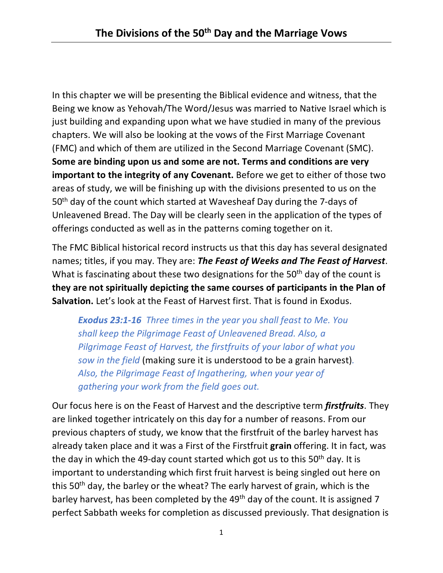In this chapter we will be presenting the Biblical evidence and witness, that the Being we know as Yehovah/The Word/Jesus was married to Native Israel which is just building and expanding upon what we have studied in many of the previous chapters. We will also be looking at the vows of the First Marriage Covenant (FMC) and which of them are utilized in the Second Marriage Covenant (SMC). **Some are binding upon us and some are not. Terms and conditions are very important to the integrity of any Covenant.** Before we get to either of those two areas of study, we will be finishing up with the divisions presented to us on the 50th day of the count which started at Wavesheaf Day during the 7-days of Unleavened Bread. The Day will be clearly seen in the application of the types of offerings conducted as well as in the patterns coming together on it.

The FMC Biblical historical record instructs us that this day has several designated names; titles, if you may. They are: *The Feast of Weeks and The Feast of Harvest*. What is fascinating about these two designations for the 50<sup>th</sup> day of the count is **they are not spiritually depicting the same courses of participants in the Plan of Salvation.** Let's look at the Feast of Harvest first. That is found in Exodus.

*Exodus 23:1-16 Three times in the year you shall feast to Me. You shall keep the Pilgrimage Feast of Unleavened Bread. Also, a Pilgrimage Feast of Harvest, the firstfruits of your labor of what you sow in the field* (making sure it is understood to be a grain harvest)*. Also, the Pilgrimage Feast of Ingathering, when your year of gathering your work from the field goes out.*

Our focus here is on the Feast of Harvest and the descriptive term *firstfruits*. They are linked together intricately on this day for a number of reasons. From our previous chapters of study, we know that the firstfruit of the barley harvest has already taken place and it was a First of the Firstfruit **grain** offering. It in fact, was the day in which the 49-day count started which got us to this  $50<sup>th</sup>$  day. It is important to understanding which first fruit harvest is being singled out here on this 50<sup>th</sup> day, the barley or the wheat? The early harvest of grain, which is the barley harvest, has been completed by the 49<sup>th</sup> day of the count. It is assigned 7 perfect Sabbath weeks for completion as discussed previously. That designation is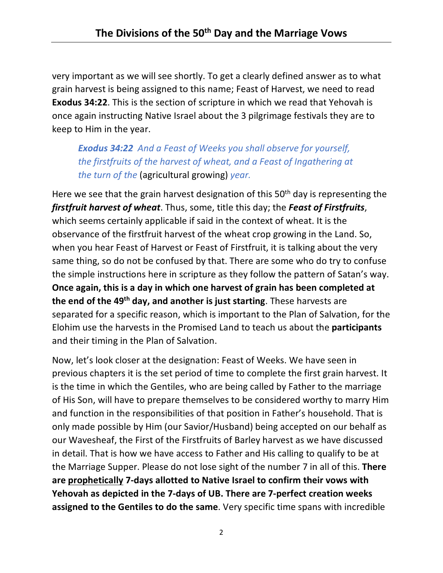very important as we will see shortly. To get a clearly defined answer as to what grain harvest is being assigned to this name; Feast of Harvest, we need to read **Exodus 34:22**. This is the section of scripture in which we read that Yehovah is once again instructing Native Israel about the 3 pilgrimage festivals they are to keep to Him in the year.

*Exodus 34:22 And a Feast of Weeks you shall observe for yourself, the firstfruits of the harvest of wheat, and a Feast of Ingathering at the turn of the* (agricultural growing) *year.*

Here we see that the grain harvest designation of this 50<sup>th</sup> day is representing the *firstfruit harvest of wheat*. Thus, some, title this day; the *Feast of Firstfruits*, which seems certainly applicable if said in the context of wheat. It is the observance of the firstfruit harvest of the wheat crop growing in the Land. So, when you hear Feast of Harvest or Feast of Firstfruit, it is talking about the very same thing, so do not be confused by that. There are some who do try to confuse the simple instructions here in scripture as they follow the pattern of Satan's way. **Once again, this is a day in which one harvest of grain has been completed at the end of the 49th day, and another is just starting**. These harvests are separated for a specific reason, which is important to the Plan of Salvation, for the Elohim use the harvests in the Promised Land to teach us about the **participants**  and their timing in the Plan of Salvation.

Now, let's look closer at the designation: Feast of Weeks. We have seen in previous chapters it is the set period of time to complete the first grain harvest. It is the time in which the Gentiles, who are being called by Father to the marriage of His Son, will have to prepare themselves to be considered worthy to marry Him and function in the responsibilities of that position in Father's household. That is only made possible by Him (our Savior/Husband) being accepted on our behalf as our Wavesheaf, the First of the Firstfruits of Barley harvest as we have discussed in detail. That is how we have access to Father and His calling to qualify to be at the Marriage Supper. Please do not lose sight of the number 7 in all of this. **There are prophetically 7-days allotted to Native Israel to confirm their vows with Yehovah as depicted in the 7-days of UB. There are 7-perfect creation weeks assigned to the Gentiles to do the same**. Very specific time spans with incredible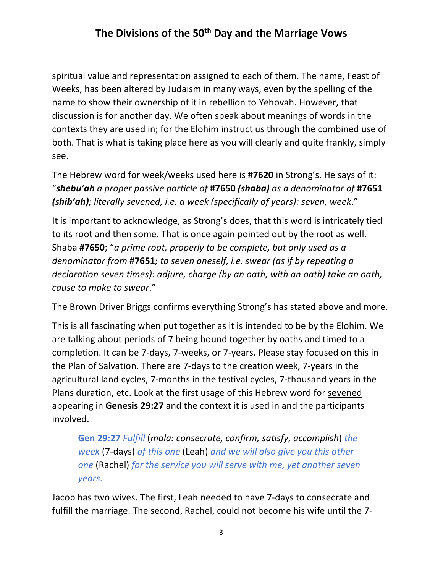spiritual value and representation assigned to each of them. The name, Feast of Weeks, has been altered by Judaism in many ways, even by the spelling of the name to show their ownership of it in rebellion to Yehovah. However, that discussion is for another day. We often speak about meanings of words in the contexts they are used in; for the Elohim instruct us through the combined use of both. That is what is taking place here as you will clearly and quite frankly, simply see.

The Hebrew word for week/weeks used here is **#7620** in Strong's. He says of it: "*shebu'ah a proper passive particle of* **#7650** *(shaba) as a denominator of* **#7651** *(shib'ah); literally sevened, i.e. a week (specifically of years): seven, week*."

It is important to acknowledge, as Strong's does, that this word is intricately tied to its root and then some. That is once again pointed out by the root as well. Shaba **#7650**; "*a prime root, properly to be complete, but only used as a denominator from* **#7651***; to seven oneself, i.e. swear (as if by repeating a declaration seven times): adjure, charge (by an oath, with an oath) take an oath, cause to make to swear*."

The Brown Driver Briggs confirms everything Strong's has stated above and more.

This is all fascinating when put together as it is intended to be by the Elohim. We are talking about periods of 7 being bound together by oaths and timed to a completion. It can be 7-days, 7-weeks, or 7-years. Please stay focused on this in the Plan of Salvation. There are 7-days to the creation week, 7-years in the agricultural land cycles, 7-months in the festival cycles, 7-thousand years in the Plans duration, etc. Look at the first usage of this Hebrew word for sevened appearing in **Genesis 29:27** and the context it is used in and the participants involved.

**Gen 29:27** *Fulfill* (*mala: consecrate, confirm, satisfy, accomplish*) *the week* (7-days) *of this one* (Leah) *and we will also give you this other one* (Rachel) *for the service you will serve with me, yet another seven years.*

Jacob has two wives. The first, Leah needed to have 7-days to consecrate and fulfill the marriage. The second, Rachel, could not become his wife until the 7-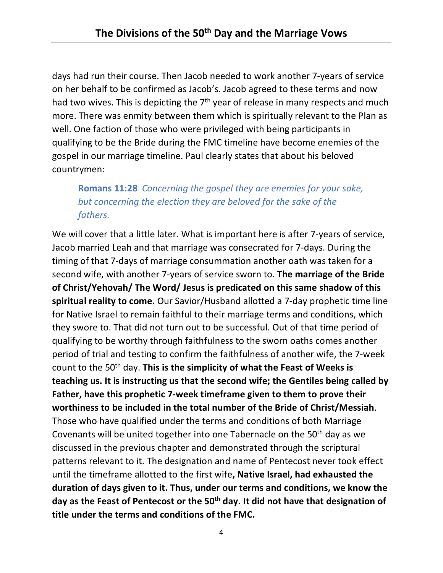days had run their course. Then Jacob needed to work another 7-years of service on her behalf to be confirmed as Jacob's. Jacob agreed to these terms and now had two wives. This is depicting the  $7<sup>th</sup>$  year of release in many respects and much more. There was enmity between them which is spiritually relevant to the Plan as well. One faction of those who were privileged with being participants in qualifying to be the Bride during the FMC timeline have become enemies of the gospel in our marriage timeline. Paul clearly states that about his beloved countrymen:

## **Romans 11:28** *Concerning the gospel they are enemies for your sake, but concerning the election they are beloved for the sake of the fathers.*

We will cover that a little later. What is important here is after 7-years of service, Jacob married Leah and that marriage was consecrated for 7-days. During the timing of that 7-days of marriage consummation another oath was taken for a second wife, with another 7-years of service sworn to. **The marriage of the Bride of Christ/Yehovah/ The Word/ Jesus is predicated on this same shadow of this spiritual reality to come.** Our Savior/Husband allotted a 7-day prophetic time line for Native Israel to remain faithful to their marriage terms and conditions, which they swore to. That did not turn out to be successful. Out of that time period of qualifying to be worthy through faithfulness to the sworn oaths comes another period of trial and testing to confirm the faithfulness of another wife, the 7-week count to the 50th day. **This is the simplicity of what the Feast of Weeks is teaching us. It is instructing us that the second wife; the Gentiles being called by Father, have this prophetic 7-week timeframe given to them to prove their worthiness to be included in the total number of the Bride of Christ/Messiah**. Those who have qualified under the terms and conditions of both Marriage Covenants will be united together into one Tabernacle on the 50<sup>th</sup> day as we discussed in the previous chapter and demonstrated through the scriptural patterns relevant to it. The designation and name of Pentecost never took effect until the timeframe allotted to the first wife**, Native Israel, had exhausted the duration of days given to it. Thus, under our terms and conditions, we know the day as the Feast of Pentecost or the 50th day. It did not have that designation of title under the terms and conditions of the FMC.**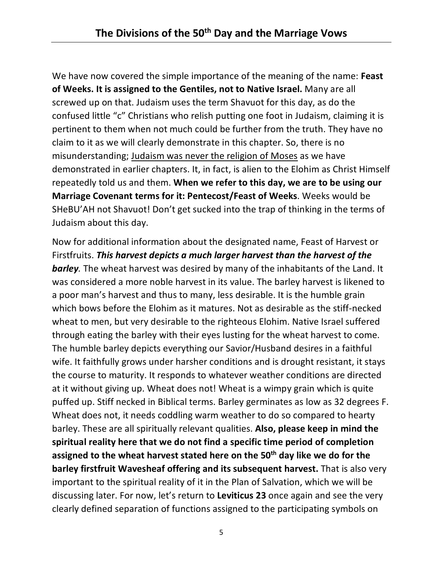We have now covered the simple importance of the meaning of the name: **Feast of Weeks. It is assigned to the Gentiles, not to Native Israel.** Many are all screwed up on that. Judaism uses the term Shavuot for this day, as do the confused little "c" Christians who relish putting one foot in Judaism, claiming it is pertinent to them when not much could be further from the truth. They have no claim to it as we will clearly demonstrate in this chapter. So, there is no misunderstanding; Judaism was never the religion of Moses as we have demonstrated in earlier chapters. It, in fact, is alien to the Elohim as Christ Himself repeatedly told us and them. **When we refer to this day, we are to be using our Marriage Covenant terms for it: Pentecost/Feast of Weeks**. Weeks would be SHeBU'AH not Shavuot! Don't get sucked into the trap of thinking in the terms of Judaism about this day.

Now for additional information about the designated name, Feast of Harvest or Firstfruits. *This harvest depicts a much larger harvest than the harvest of the barley.* The wheat harvest was desired by many of the inhabitants of the Land. It was considered a more noble harvest in its value. The barley harvest is likened to a poor man's harvest and thus to many, less desirable. It is the humble grain which bows before the Elohim as it matures. Not as desirable as the stiff-necked wheat to men, but very desirable to the righteous Elohim. Native Israel suffered through eating the barley with their eyes lusting for the wheat harvest to come. The humble barley depicts everything our Savior/Husband desires in a faithful wife. It faithfully grows under harsher conditions and is drought resistant, it stays the course to maturity. It responds to whatever weather conditions are directed at it without giving up. Wheat does not! Wheat is a wimpy grain which is quite puffed up. Stiff necked in Biblical terms. Barley germinates as low as 32 degrees F. Wheat does not, it needs coddling warm weather to do so compared to hearty barley. These are all spiritually relevant qualities. **Also, please keep in mind the spiritual reality here that we do not find a specific time period of completion assigned to the wheat harvest stated here on the 50th day like we do for the barley firstfruit Wavesheaf offering and its subsequent harvest.** That is also very important to the spiritual reality of it in the Plan of Salvation, which we will be discussing later. For now, let's return to **Leviticus 23** once again and see the very clearly defined separation of functions assigned to the participating symbols on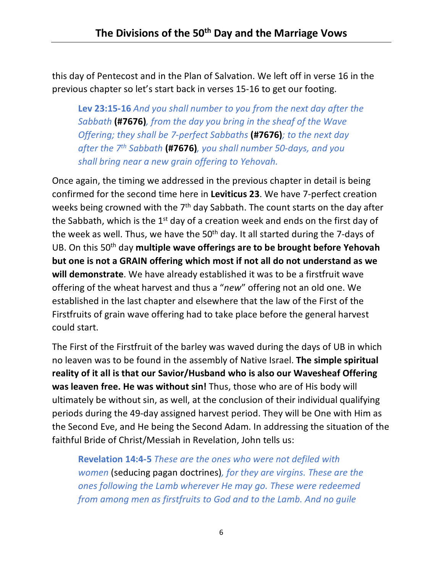this day of Pentecost and in the Plan of Salvation. We left off in verse 16 in the previous chapter so let's start back in verses 15-16 to get our footing.

**Lev 23:15-16** *And you shall number to you from the next day after the Sabbath* **(#7676)***, from the day you bring in the sheaf of the Wave Offering; they shall be 7-perfect Sabbaths* **(#7676)***; to the next day after the 7th Sabbath* **(#7676)***, you shall number 50-days, and you shall bring near a new grain offering to Yehovah.*

Once again, the timing we addressed in the previous chapter in detail is being confirmed for the second time here in **Leviticus 23**. We have 7-perfect creation weeks being crowned with the 7<sup>th</sup> day Sabbath. The count starts on the day after the Sabbath, which is the  $1<sup>st</sup>$  day of a creation week and ends on the first day of the week as well. Thus, we have the  $50<sup>th</sup>$  day. It all started during the 7-days of UB. On this 50th day **multiple wave offerings are to be brought before Yehovah but one is not a GRAIN offering which most if not all do not understand as we will demonstrate**. We have already established it was to be a firstfruit wave offering of the wheat harvest and thus a "*new*" offering not an old one. We established in the last chapter and elsewhere that the law of the First of the Firstfruits of grain wave offering had to take place before the general harvest could start.

The First of the Firstfruit of the barley was waved during the days of UB in which no leaven was to be found in the assembly of Native Israel. **The simple spiritual reality of it all is that our Savior/Husband who is also our Wavesheaf Offering was leaven free. He was without sin!** Thus, those who are of His body will ultimately be without sin, as well, at the conclusion of their individual qualifying periods during the 49-day assigned harvest period. They will be One with Him as the Second Eve, and He being the Second Adam. In addressing the situation of the faithful Bride of Christ/Messiah in Revelation, John tells us:

**Revelation 14:4-5** *These are the ones who were not defiled with women* (seducing pagan doctrines)*, for they are virgins. These are the ones following the Lamb wherever He may go. These were redeemed from among men as firstfruits to God and to the Lamb. And no guile*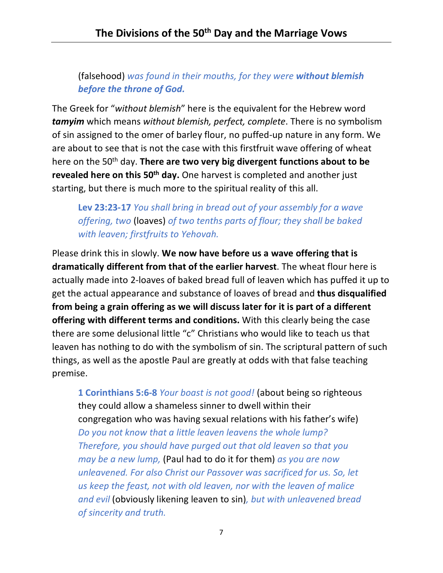(falsehood) *was found in their mouths, for they were without blemish before the throne of God.*

The Greek for "*without blemish*" here is the equivalent for the Hebrew word *tamyim* which means *without blemish, perfect, complete*. There is no symbolism of sin assigned to the omer of barley flour, no puffed-up nature in any form. We are about to see that is not the case with this firstfruit wave offering of wheat here on the 50th day. **There are two very big divergent functions about to be revealed here on this 50<sup>th</sup> day.** One harvest is completed and another just starting, but there is much more to the spiritual reality of this all.

**Lev 23:23-17** *You shall bring in bread out of your assembly for a wave offering, two* (loaves) *of two tenths parts of flour; they shall be baked with leaven; firstfruits to Yehovah.*

Please drink this in slowly. **We now have before us a wave offering that is dramatically different from that of the earlier harvest**. The wheat flour here is actually made into 2-loaves of baked bread full of leaven which has puffed it up to get the actual appearance and substance of loaves of bread and **thus disqualified from being a grain offering as we will discuss later for it is part of a different offering with different terms and conditions.** With this clearly being the case there are some delusional little "c" Christians who would like to teach us that leaven has nothing to do with the symbolism of sin. The scriptural pattern of such things, as well as the apostle Paul are greatly at odds with that false teaching premise.

**1 Corinthians 5:6-8** *Your boast is not good!* (about being so righteous they could allow a shameless sinner to dwell within their congregation who was having sexual relations with his father's wife) *Do you not know that a little leaven leavens the whole lump? Therefore, you should have purged out that old leaven so that you may be a new lump,* (Paul had to do it for them) *as you are now unleavened. For also Christ our Passover was sacrificed for us. So, let us keep the feast, not with old leaven, nor with the leaven of malice and evil* (obviously likening leaven to sin)*, but with unleavened bread of sincerity and truth.*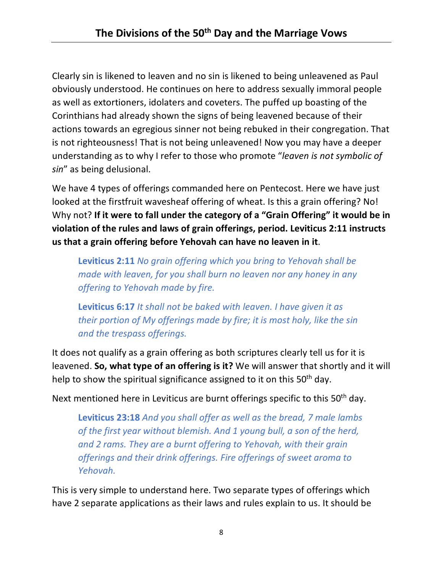Clearly sin is likened to leaven and no sin is likened to being unleavened as Paul obviously understood. He continues on here to address sexually immoral people as well as extortioners, idolaters and coveters. The puffed up boasting of the Corinthians had already shown the signs of being leavened because of their actions towards an egregious sinner not being rebuked in their congregation. That is not righteousness! That is not being unleavened! Now you may have a deeper understanding as to why I refer to those who promote "*leaven is not symbolic of sin*" as being delusional.

We have 4 types of offerings commanded here on Pentecost. Here we have just looked at the firstfruit wavesheaf offering of wheat. Is this a grain offering? No! Why not? **If it were to fall under the category of a "Grain Offering" it would be in violation of the rules and laws of grain offerings, period. Leviticus 2:11 instructs us that a grain offering before Yehovah can have no leaven in it**.

**Leviticus 2:11** *No grain offering which you bring to Yehovah shall be made with leaven, for you shall burn no leaven nor any honey in any offering to Yehovah made by fire.*

**Leviticus 6:17** *It shall not be baked with leaven. I have given it as their portion of My offerings made by fire; it is most holy, like the sin and the trespass offerings.*

It does not qualify as a grain offering as both scriptures clearly tell us for it is leavened. **So, what type of an offering is it?** We will answer that shortly and it will help to show the spiritual significance assigned to it on this 50<sup>th</sup> day.

Next mentioned here in Leviticus are burnt offerings specific to this 50<sup>th</sup> day.

**Leviticus 23:18** *And you shall offer as well as the bread, 7 male lambs of the first year without blemish. And 1 young bull, a son of the herd, and 2 rams. They are a burnt offering to Yehovah, with their grain offerings and their drink offerings. Fire offerings of sweet aroma to Yehovah.*

This is very simple to understand here. Two separate types of offerings which have 2 separate applications as their laws and rules explain to us. It should be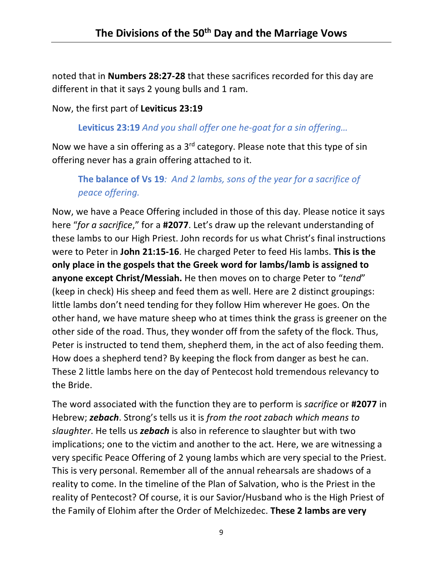noted that in **Numbers 28:27-28** that these sacrifices recorded for this day are different in that it says 2 young bulls and 1 ram.

Now, the first part of **Leviticus 23:19**

**Leviticus 23:19** *And you shall offer one he-goat for a sin offering…*

Now we have a sin offering as a  $3<sup>rd</sup>$  category. Please note that this type of sin offering never has a grain offering attached to it.

**The balance of Vs 19***: And 2 lambs, sons of the year for a sacrifice of peace offering.*

Now, we have a Peace Offering included in those of this day. Please notice it says here "*for a sacrifice*," for a **#2077**. Let's draw up the relevant understanding of these lambs to our High Priest. John records for us what Christ's final instructions were to Peter in **John 21:15-16**. He charged Peter to feed His lambs. **This is the only place in the gospels that the Greek word for lambs/lamb is assigned to anyone except Christ/Messiah.** He then moves on to charge Peter to "*tend*" (keep in check) His sheep and feed them as well. Here are 2 distinct groupings: little lambs don't need tending for they follow Him wherever He goes. On the other hand, we have mature sheep who at times think the grass is greener on the other side of the road. Thus, they wonder off from the safety of the flock. Thus, Peter is instructed to tend them, shepherd them, in the act of also feeding them. How does a shepherd tend? By keeping the flock from danger as best he can. These 2 little lambs here on the day of Pentecost hold tremendous relevancy to the Bride.

The word associated with the function they are to perform is *sacrifice* or **#2077** in Hebrew; *zebach*. Strong's tells us it is *from the root zabach which means to slaughter*. He tells us *zebach* is also in reference to slaughter but with two implications; one to the victim and another to the act. Here, we are witnessing a very specific Peace Offering of 2 young lambs which are very special to the Priest. This is very personal. Remember all of the annual rehearsals are shadows of a reality to come. In the timeline of the Plan of Salvation, who is the Priest in the reality of Pentecost? Of course, it is our Savior/Husband who is the High Priest of the Family of Elohim after the Order of Melchizedec. **These 2 lambs are very**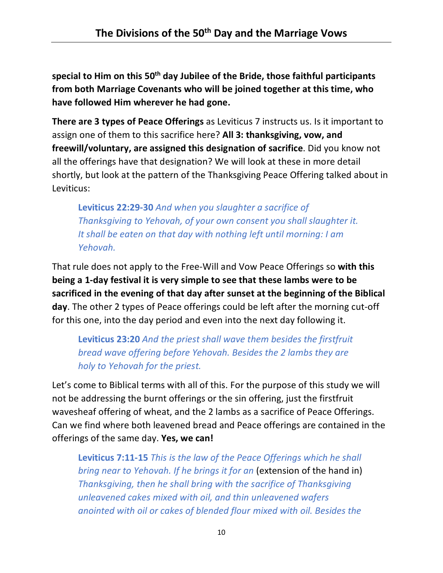**special to Him on this 50th day Jubilee of the Bride, those faithful participants from both Marriage Covenants who will be joined together at this time, who have followed Him wherever he had gone.**

**There are 3 types of Peace Offerings** as Leviticus 7 instructs us. Is it important to assign one of them to this sacrifice here? **All 3: thanksgiving, vow, and freewill/voluntary, are assigned this designation of sacrifice**. Did you know not all the offerings have that designation? We will look at these in more detail shortly, but look at the pattern of the Thanksgiving Peace Offering talked about in Leviticus:

**Leviticus 22:29-30** *And when you slaughter a sacrifice of Thanksgiving to Yehovah, of your own consent you shall slaughter it. It shall be eaten on that day with nothing left until morning: I am Yehovah.*

That rule does not apply to the Free-Will and Vow Peace Offerings so **with this being a 1-day festival it is very simple to see that these lambs were to be sacrificed in the evening of that day after sunset at the beginning of the Biblical day**. The other 2 types of Peace offerings could be left after the morning cut-off for this one, into the day period and even into the next day following it.

**Leviticus 23:20** *And the priest shall wave them besides the firstfruit bread wave offering before Yehovah. Besides the 2 lambs they are holy to Yehovah for the priest.*

Let's come to Biblical terms with all of this. For the purpose of this study we will not be addressing the burnt offerings or the sin offering, just the firstfruit wavesheaf offering of wheat, and the 2 lambs as a sacrifice of Peace Offerings. Can we find where both leavened bread and Peace offerings are contained in the offerings of the same day. **Yes, we can!**

**Leviticus 7:11-15** *This is the law of the Peace Offerings which he shall bring near to Yehovah. If he brings it for an* (extension of the hand in) *Thanksgiving, then he shall bring with the sacrifice of Thanksgiving unleavened cakes mixed with oil, and thin unleavened wafers anointed with oil or cakes of blended flour mixed with oil. Besides the*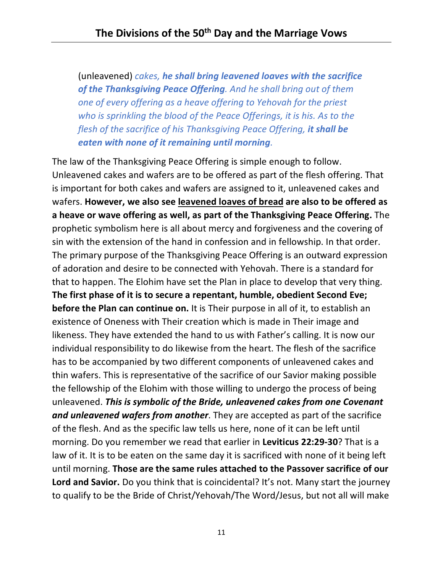(unleavened) *cakes, he shall bring leavened loaves with the sacrifice of the Thanksgiving Peace Offering. And he shall bring out of them one of every offering as a heave offering to Yehovah for the priest who is sprinkling the blood of the Peace Offerings, it is his. As to the flesh of the sacrifice of his Thanksgiving Peace Offering, it shall be eaten with none of it remaining until morning.*

The law of the Thanksgiving Peace Offering is simple enough to follow. Unleavened cakes and wafers are to be offered as part of the flesh offering. That is important for both cakes and wafers are assigned to it, unleavened cakes and wafers. **However, we also see leavened loaves of bread are also to be offered as a heave or wave offering as well, as part of the Thanksgiving Peace Offering.** The prophetic symbolism here is all about mercy and forgiveness and the covering of sin with the extension of the hand in confession and in fellowship. In that order. The primary purpose of the Thanksgiving Peace Offering is an outward expression of adoration and desire to be connected with Yehovah. There is a standard for that to happen. The Elohim have set the Plan in place to develop that very thing. **The first phase of it is to secure a repentant, humble, obedient Second Eve; before the Plan can continue on.** It is Their purpose in all of it, to establish an existence of Oneness with Their creation which is made in Their image and likeness. They have extended the hand to us with Father's calling. It is now our individual responsibility to do likewise from the heart. The flesh of the sacrifice has to be accompanied by two different components of unleavened cakes and thin wafers. This is representative of the sacrifice of our Savior making possible the fellowship of the Elohim with those willing to undergo the process of being unleavened. *This is symbolic of the Bride, unleavened cakes from one Covenant and unleavened wafers from another*. They are accepted as part of the sacrifice of the flesh. And as the specific law tells us here, none of it can be left until morning. Do you remember we read that earlier in **Leviticus 22:29-30**? That is a law of it. It is to be eaten on the same day it is sacrificed with none of it being left until morning. **Those are the same rules attached to the Passover sacrifice of our Lord and Savior.** Do you think that is coincidental? It's not. Many start the journey to qualify to be the Bride of Christ/Yehovah/The Word/Jesus, but not all will make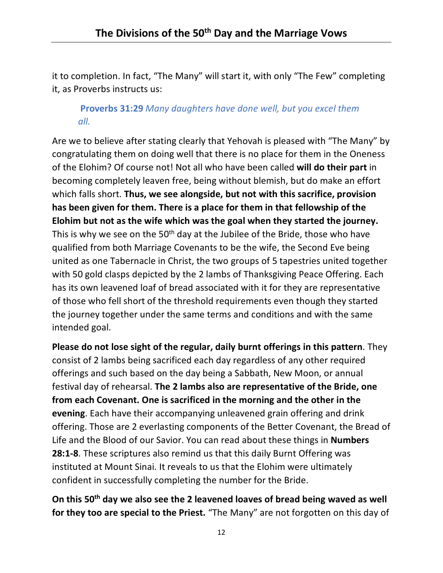it to completion. In fact, "The Many" will start it, with only "The Few" completing it, as Proverbs instructs us:

## **Proverbs 31:29** *Many daughters have done well, but you excel them all.*

Are we to believe after stating clearly that Yehovah is pleased with "The Many" by congratulating them on doing well that there is no place for them in the Oneness of the Elohim? Of course not! Not all who have been called **will do their part** in becoming completely leaven free, being without blemish, but do make an effort which falls short. **Thus, we see alongside, but not with this sacrifice, provision has been given for them. There is a place for them in that fellowship of the Elohim but not as the wife which was the goal when they started the journey.** This is why we see on the  $50<sup>th</sup>$  day at the Jubilee of the Bride, those who have qualified from both Marriage Covenants to be the wife, the Second Eve being united as one Tabernacle in Christ, the two groups of 5 tapestries united together with 50 gold clasps depicted by the 2 lambs of Thanksgiving Peace Offering. Each has its own leavened loaf of bread associated with it for they are representative of those who fell short of the threshold requirements even though they started the journey together under the same terms and conditions and with the same intended goal.

**Please do not lose sight of the regular, daily burnt offerings in this pattern**. They consist of 2 lambs being sacrificed each day regardless of any other required offerings and such based on the day being a Sabbath, New Moon, or annual festival day of rehearsal. **The 2 lambs also are representative of the Bride, one from each Covenant. One is sacrificed in the morning and the other in the evening**. Each have their accompanying unleavened grain offering and drink offering. Those are 2 everlasting components of the Better Covenant, the Bread of Life and the Blood of our Savior. You can read about these things in **Numbers 28:1-8**. These scriptures also remind us that this daily Burnt Offering was instituted at Mount Sinai. It reveals to us that the Elohim were ultimately confident in successfully completing the number for the Bride.

**On this 50th day we also see the 2 leavened loaves of bread being waved as well for they too are special to the Priest.** "The Many" are not forgotten on this day of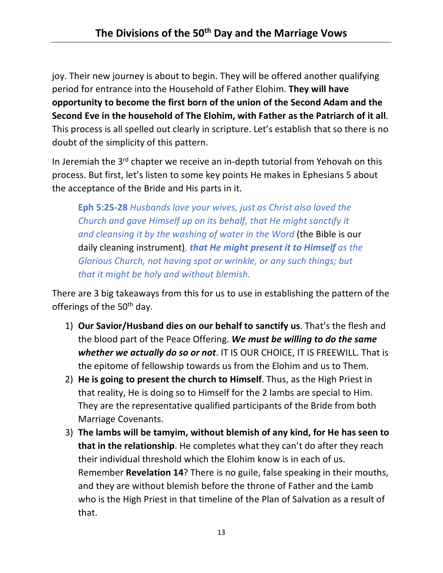joy. Their new journey is about to begin. They will be offered another qualifying period for entrance into the Household of Father Elohim. **They will have opportunity to become the first born of the union of the Second Adam and the Second Eve in the household of The Elohim, with Father as the Patriarch of it all**. This process is all spelled out clearly in scripture. Let's establish that so there is no doubt of the simplicity of this pattern.

In Jeremiah the 3<sup>rd</sup> chapter we receive an in-depth tutorial from Yehovah on this process. But first, let's listen to some key points He makes in Ephesians 5 about the acceptance of the Bride and His parts in it.

**Eph 5:25-28** *Husbands love your wives, just as Christ also loved the Church and gave Himself up on its behalf, that He might sanctify it and cleansing it by the washing of water in the Word* (the Bible is our daily cleaning instrument)*, that He might present it to Himself as the Glorious Church, not having spot or wrinkle, or any such things; but that it might be holy and without blemish.*

There are 3 big takeaways from this for us to use in establishing the pattern of the offerings of the 50<sup>th</sup> day.

- 1) **Our Savior/Husband dies on our behalf to sanctify us**. That's the flesh and the blood part of the Peace Offering. *We must be willing to do the same whether we actually do so or not*. IT IS OUR CHOICE, IT IS FREEWILL. That is the epitome of fellowship towards us from the Elohim and us to Them.
- 2) **He is going to present the church to Himself**. Thus, as the High Priest in that reality, He is doing so to Himself for the 2 lambs are special to Him. They are the representative qualified participants of the Bride from both Marriage Covenants.
- 3) **The lambs will be tamyim, without blemish of any kind, for He has seen to that in the relationship**. He completes what they can't do after they reach their individual threshold which the Elohim know is in each of us. Remember **Revelation 14**? There is no guile, false speaking in their mouths, and they are without blemish before the throne of Father and the Lamb who is the High Priest in that timeline of the Plan of Salvation as a result of that.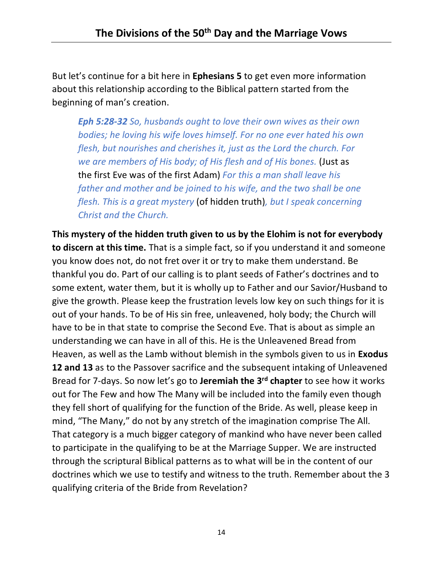But let's continue for a bit here in **Ephesians 5** to get even more information about this relationship according to the Biblical pattern started from the beginning of man's creation.

*Eph 5:28-32 So, husbands ought to love their own wives as their own bodies; he loving his wife loves himself. For no one ever hated his own flesh, but nourishes and cherishes it, just as the Lord the church. For we are members of His body; of His flesh and of His bones.* (Just as the first Eve was of the first Adam) *For this a man shall leave his father and mother and be joined to his wife, and the two shall be one flesh. This is a great mystery* (of hidden truth)*, but I speak concerning Christ and the Church.*

**This mystery of the hidden truth given to us by the Elohim is not for everybody to discern at this time.** That is a simple fact, so if you understand it and someone you know does not, do not fret over it or try to make them understand. Be thankful you do. Part of our calling is to plant seeds of Father's doctrines and to some extent, water them, but it is wholly up to Father and our Savior/Husband to give the growth. Please keep the frustration levels low key on such things for it is out of your hands. To be of His sin free, unleavened, holy body; the Church will have to be in that state to comprise the Second Eve. That is about as simple an understanding we can have in all of this. He is the Unleavened Bread from Heaven, as well as the Lamb without blemish in the symbols given to us in **Exodus 12 and 13** as to the Passover sacrifice and the subsequent intaking of Unleavened Bread for 7-days. So now let's go to **Jeremiah the 3rd chapter** to see how it works out for The Few and how The Many will be included into the family even though they fell short of qualifying for the function of the Bride. As well, please keep in mind, "The Many," do not by any stretch of the imagination comprise The All. That category is a much bigger category of mankind who have never been called to participate in the qualifying to be at the Marriage Supper. We are instructed through the scriptural Biblical patterns as to what will be in the content of our doctrines which we use to testify and witness to the truth. Remember about the 3 qualifying criteria of the Bride from Revelation?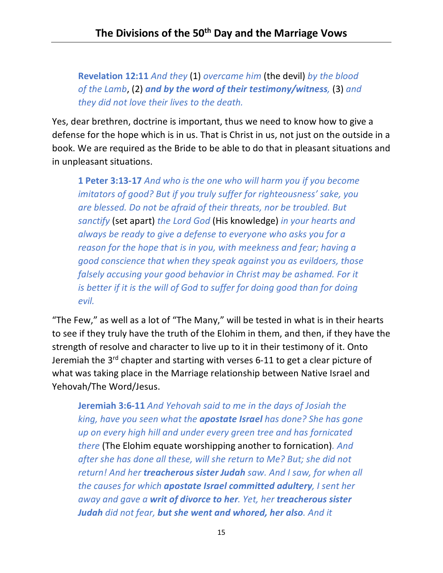**Revelation 12:11** *And they* (1) *overcame him* (the devil) *by the blood of the Lamb*, (2) *and by the word of their testimony/witness,* (3) *and they did not love their lives to the death.*

Yes, dear brethren, doctrine is important, thus we need to know how to give a defense for the hope which is in us. That is Christ in us, not just on the outside in a book. We are required as the Bride to be able to do that in pleasant situations and in unpleasant situations.

**1 Peter 3:13-17** *And who is the one who will harm you if you become imitators of good? But if you truly suffer for righteousness' sake, you are blessed. Do not be afraid of their threats, nor be troubled. But sanctify* (set apart) *the Lord God* (His knowledge) *in your hearts and always be ready to give a defense to everyone who asks you for a reason for the hope that is in you, with meekness and fear; having a good conscience that when they speak against you as evildoers, those falsely accusing your good behavior in Christ may be ashamed. For it is better if it is the will of God to suffer for doing good than for doing evil.*

"The Few," as well as a lot of "The Many," will be tested in what is in their hearts to see if they truly have the truth of the Elohim in them, and then, if they have the strength of resolve and character to live up to it in their testimony of it. Onto Jeremiah the  $3^{rd}$  chapter and starting with verses 6-11 to get a clear picture of what was taking place in the Marriage relationship between Native Israel and Yehovah/The Word/Jesus.

**Jeremiah 3:6-11** *And Yehovah said to me in the days of Josiah the king, have you seen what the apostate Israel has done? She has gone up on every high hill and under every green tree and has fornicated there* (The Elohim equate worshipping another to fornication)*. And after she has done all these, will she return to Me? But; she did not return! And her treacherous sister Judah saw. And I saw, for when all the causes for which apostate Israel committed adultery, I sent her away and gave a writ of divorce to her. Yet, her treacherous sister Judah did not fear, but she went and whored, her also. And it*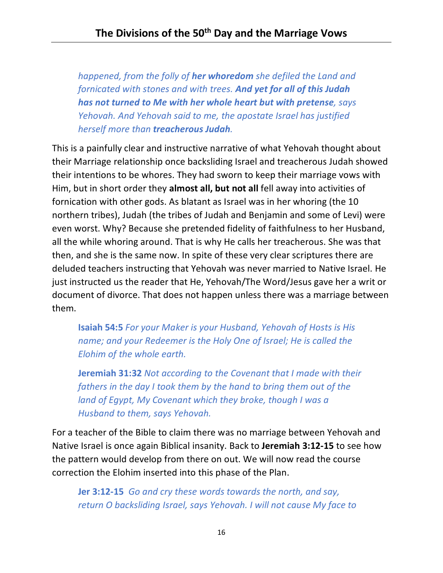*happened, from the folly of her whoredom she defiled the Land and fornicated with stones and with trees. And yet for all of this Judah has not turned to Me with her whole heart but with pretense, says Yehovah. And Yehovah said to me, the apostate Israel has justified herself more than treacherous Judah.*

This is a painfully clear and instructive narrative of what Yehovah thought about their Marriage relationship once backsliding Israel and treacherous Judah showed their intentions to be whores. They had sworn to keep their marriage vows with Him, but in short order they **almost all, but not all** fell away into activities of fornication with other gods. As blatant as Israel was in her whoring (the 10 northern tribes), Judah (the tribes of Judah and Benjamin and some of Levi) were even worst. Why? Because she pretended fidelity of faithfulness to her Husband, all the while whoring around. That is why He calls her treacherous. She was that then, and she is the same now. In spite of these very clear scriptures there are deluded teachers instructing that Yehovah was never married to Native Israel. He just instructed us the reader that He, Yehovah/The Word/Jesus gave her a writ or document of divorce. That does not happen unless there was a marriage between them.

**Isaiah 54:5** *For your Maker is your Husband, Yehovah of Hosts is His name; and your Redeemer is the Holy One of Israel; He is called the Elohim of the whole earth.*

**Jeremiah 31:32** *Not according to the Covenant that I made with their fathers in the day I took them by the hand to bring them out of the land of Egypt, My Covenant which they broke, though I was a Husband to them, says Yehovah.*

For a teacher of the Bible to claim there was no marriage between Yehovah and Native Israel is once again Biblical insanity. Back to **Jeremiah 3:12-15** to see how the pattern would develop from there on out. We will now read the course correction the Elohim inserted into this phase of the Plan.

**Jer 3:12-15** *Go and cry these words towards the north, and say, return O backsliding Israel, says Yehovah. I will not cause My face to*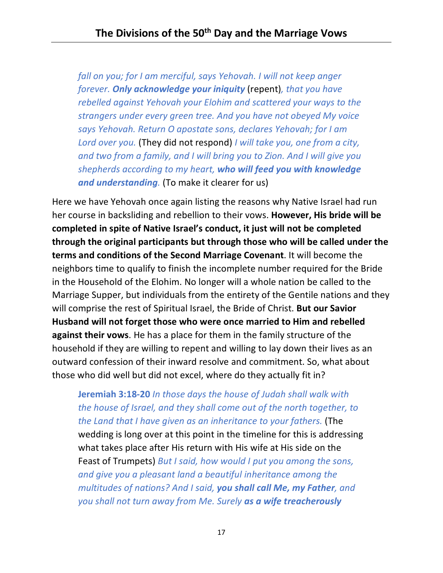*fall on you; for I am merciful, says Yehovah. I will not keep anger forever. Only acknowledge your iniquity* (repent)*, that you have rebelled against Yehovah your Elohim and scattered your ways to the strangers under every green tree. And you have not obeyed My voice says Yehovah. Return O apostate sons, declares Yehovah; for I am Lord over you.* (They did not respond) *I will take you, one from a city, and two from a family, and I will bring you to Zion. And I will give you shepherds according to my heart, who will feed you with knowledge and understanding.* (To make it clearer for us)

Here we have Yehovah once again listing the reasons why Native Israel had run her course in backsliding and rebellion to their vows. **However, His bride will be completed in spite of Native Israel's conduct, it just will not be completed through the original participants but through those who will be called under the terms and conditions of the Second Marriage Covenant**. It will become the neighbors time to qualify to finish the incomplete number required for the Bride in the Household of the Elohim. No longer will a whole nation be called to the Marriage Supper, but individuals from the entirety of the Gentile nations and they will comprise the rest of Spiritual Israel, the Bride of Christ. **But our Savior Husband will not forget those who were once married to Him and rebelled against their vows**. He has a place for them in the family structure of the household if they are willing to repent and willing to lay down their lives as an outward confession of their inward resolve and commitment. So, what about those who did well but did not excel, where do they actually fit in?

**Jeremiah 3:18-20** *In those days the house of Judah shall walk with the house of Israel, and they shall come out of the north together, to the Land that I have given as an inheritance to your fathers.* (The wedding is long over at this point in the timeline for this is addressing what takes place after His return with His wife at His side on the Feast of Trumpets) *But I said, how would I put you among the sons, and give you a pleasant land a beautiful inheritance among the multitudes of nations? And I said, you shall call Me, my Father, and you shall not turn away from Me. Surely as a wife treacherously*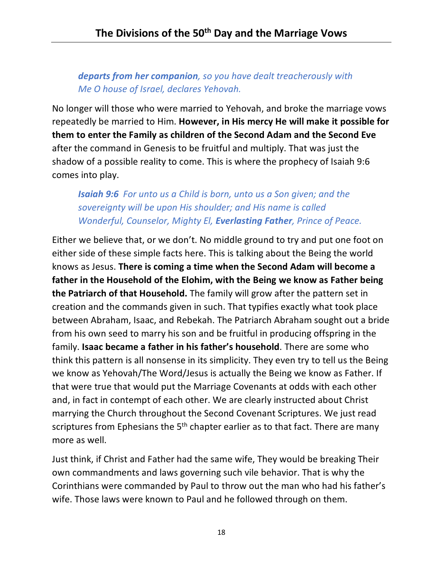## *departs from her companion, so you have dealt treacherously with Me O house of Israel, declares Yehovah.*

No longer will those who were married to Yehovah, and broke the marriage vows repeatedly be married to Him. **However, in His mercy He will make it possible for them to enter the Family as children of the Second Adam and the Second Eve** after the command in Genesis to be fruitful and multiply. That was just the shadow of a possible reality to come. This is where the prophecy of Isaiah 9:6 comes into play.

## *Isaiah 9:6 For unto us a Child is born, unto us a Son given; and the sovereignty will be upon His shoulder; and His name is called Wonderful, Counselor, Mighty El, Everlasting Father, Prince of Peace.*

Either we believe that, or we don't. No middle ground to try and put one foot on either side of these simple facts here. This is talking about the Being the world knows as Jesus. **There is coming a time when the Second Adam will become a father in the Household of the Elohim, with the Being we know as Father being the Patriarch of that Household.** The family will grow after the pattern set in creation and the commands given in such. That typifies exactly what took place between Abraham, Isaac, and Rebekah. The Patriarch Abraham sought out a bride from his own seed to marry his son and be fruitful in producing offspring in the family. **Isaac became a father in his father's household**. There are some who think this pattern is all nonsense in its simplicity. They even try to tell us the Being we know as Yehovah/The Word/Jesus is actually the Being we know as Father. If that were true that would put the Marriage Covenants at odds with each other and, in fact in contempt of each other. We are clearly instructed about Christ marrying the Church throughout the Second Covenant Scriptures. We just read scriptures from Ephesians the  $5<sup>th</sup>$  chapter earlier as to that fact. There are many more as well.

Just think, if Christ and Father had the same wife, They would be breaking Their own commandments and laws governing such vile behavior. That is why the Corinthians were commanded by Paul to throw out the man who had his father's wife. Those laws were known to Paul and he followed through on them.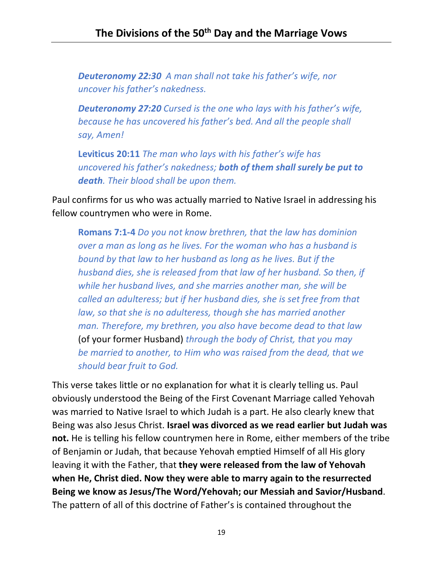*Deuteronomy 22:30 A man shall not take his father's wife, nor uncover his father's nakedness.*

*Deuteronomy 27:20 Cursed is the one who lays with his father's wife, because he has uncovered his father's bed. And all the people shall say, Amen!*

**Leviticus 20:11** *The man who lays with his father's wife has uncovered his father's nakedness; both of them shall surely be put to death. Their blood shall be upon them.*

Paul confirms for us who was actually married to Native Israel in addressing his fellow countrymen who were in Rome.

**Romans 7:1-4** *Do you not know brethren, that the law has dominion over a man as long as he lives. For the woman who has a husband is bound by that law to her husband as long as he lives. But if the husband dies, she is released from that law of her husband. So then, if while her husband lives, and she marries another man, she will be called an adulteress; but if her husband dies, she is set free from that law, so that she is no adulteress, though she has married another man. Therefore, my brethren, you also have become dead to that law*  (of your former Husband) *through the body of Christ, that you may be married to another, to Him who was raised from the dead, that we should bear fruit to God.*

This verse takes little or no explanation for what it is clearly telling us. Paul obviously understood the Being of the First Covenant Marriage called Yehovah was married to Native Israel to which Judah is a part. He also clearly knew that Being was also Jesus Christ. **Israel was divorced as we read earlier but Judah was not.** He is telling his fellow countrymen here in Rome, either members of the tribe of Benjamin or Judah, that because Yehovah emptied Himself of all His glory leaving it with the Father, that **they were released from the law of Yehovah when He, Christ died. Now they were able to marry again to the resurrected Being we know as Jesus/The Word/Yehovah; our Messiah and Savior/Husband**. The pattern of all of this doctrine of Father's is contained throughout the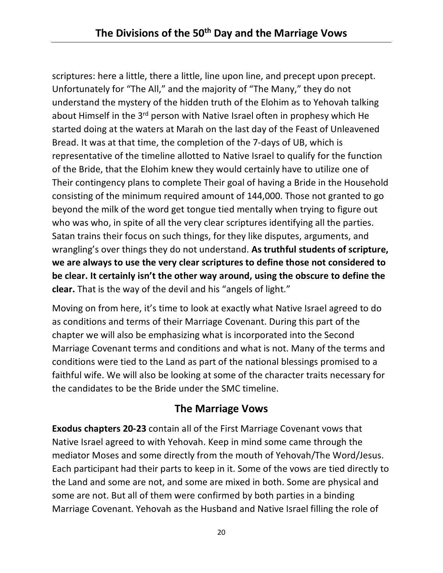scriptures: here a little, there a little, line upon line, and precept upon precept. Unfortunately for "The All," and the majority of "The Many," they do not understand the mystery of the hidden truth of the Elohim as to Yehovah talking about Himself in the  $3^{rd}$  person with Native Israel often in prophesy which He started doing at the waters at Marah on the last day of the Feast of Unleavened Bread. It was at that time, the completion of the 7-days of UB, which is representative of the timeline allotted to Native Israel to qualify for the function of the Bride, that the Elohim knew they would certainly have to utilize one of Their contingency plans to complete Their goal of having a Bride in the Household consisting of the minimum required amount of 144,000. Those not granted to go beyond the milk of the word get tongue tied mentally when trying to figure out who was who, in spite of all the very clear scriptures identifying all the parties. Satan trains their focus on such things, for they like disputes, arguments, and wrangling's over things they do not understand. **As truthful students of scripture, we are always to use the very clear scriptures to define those not considered to be clear. It certainly isn't the other way around, using the obscure to define the clear.** That is the way of the devil and his "angels of light."

Moving on from here, it's time to look at exactly what Native Israel agreed to do as conditions and terms of their Marriage Covenant. During this part of the chapter we will also be emphasizing what is incorporated into the Second Marriage Covenant terms and conditions and what is not. Many of the terms and conditions were tied to the Land as part of the national blessings promised to a faithful wife. We will also be looking at some of the character traits necessary for the candidates to be the Bride under the SMC timeline.

# **The Marriage Vows**

**Exodus chapters 20-23** contain all of the First Marriage Covenant vows that Native Israel agreed to with Yehovah. Keep in mind some came through the mediator Moses and some directly from the mouth of Yehovah/The Word/Jesus. Each participant had their parts to keep in it. Some of the vows are tied directly to the Land and some are not, and some are mixed in both. Some are physical and some are not. But all of them were confirmed by both parties in a binding Marriage Covenant. Yehovah as the Husband and Native Israel filling the role of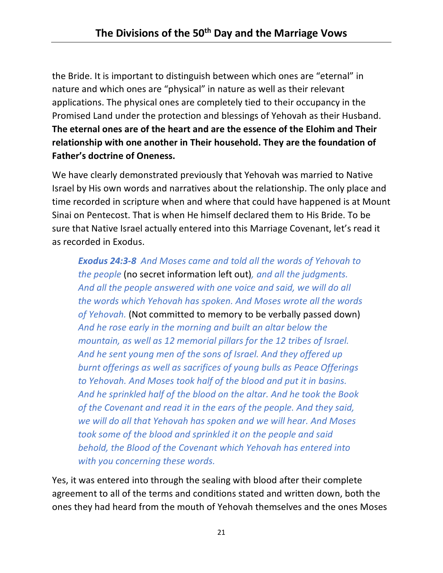the Bride. It is important to distinguish between which ones are "eternal" in nature and which ones are "physical" in nature as well as their relevant applications. The physical ones are completely tied to their occupancy in the Promised Land under the protection and blessings of Yehovah as their Husband. **The eternal ones are of the heart and are the essence of the Elohim and Their relationship with one another in Their household. They are the foundation of Father's doctrine of Oneness.** 

We have clearly demonstrated previously that Yehovah was married to Native Israel by His own words and narratives about the relationship. The only place and time recorded in scripture when and where that could have happened is at Mount Sinai on Pentecost. That is when He himself declared them to His Bride. To be sure that Native Israel actually entered into this Marriage Covenant, let's read it as recorded in Exodus.

*Exodus 24:3-8 And Moses came and told all the words of Yehovah to the people* (no secret information left out)*, and all the judgments. And all the people answered with one voice and said, we will do all the words which Yehovah has spoken. And Moses wrote all the words of Yehovah.* (Not committed to memory to be verbally passed down) *And he rose early in the morning and built an altar below the mountain, as well as 12 memorial pillars for the 12 tribes of Israel. And he sent young men of the sons of Israel. And they offered up burnt offerings as well as sacrifices of young bulls as Peace Offerings to Yehovah. And Moses took half of the blood and put it in basins. And he sprinkled half of the blood on the altar. And he took the Book of the Covenant and read it in the ears of the people. And they said, we will do all that Yehovah has spoken and we will hear. And Moses took some of the blood and sprinkled it on the people and said behold, the Blood of the Covenant which Yehovah has entered into with you concerning these words.*

Yes, it was entered into through the sealing with blood after their complete agreement to all of the terms and conditions stated and written down, both the ones they had heard from the mouth of Yehovah themselves and the ones Moses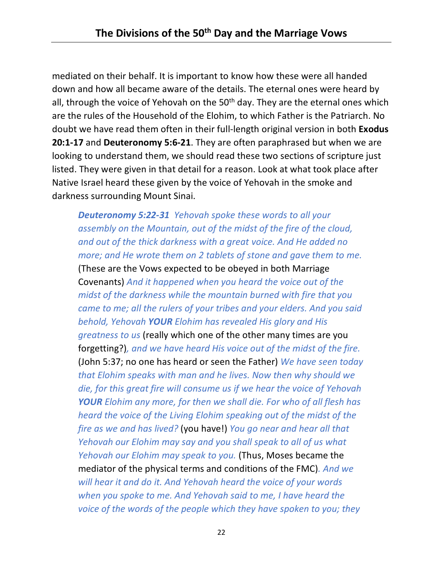mediated on their behalf. It is important to know how these were all handed down and how all became aware of the details. The eternal ones were heard by all, through the voice of Yehovah on the  $50<sup>th</sup>$  day. They are the eternal ones which are the rules of the Household of the Elohim, to which Father is the Patriarch. No doubt we have read them often in their full-length original version in both **Exodus 20:1-17** and **Deuteronomy 5:6-21**. They are often paraphrased but when we are looking to understand them, we should read these two sections of scripture just listed. They were given in that detail for a reason. Look at what took place after Native Israel heard these given by the voice of Yehovah in the smoke and darkness surrounding Mount Sinai.

*Deuteronomy 5:22-31 Yehovah spoke these words to all your assembly on the Mountain, out of the midst of the fire of the cloud, and out of the thick darkness with a great voice. And He added no more; and He wrote them on 2 tablets of stone and gave them to me.* (These are the Vows expected to be obeyed in both Marriage Covenants) *And it happened when you heard the voice out of the midst of the darkness while the mountain burned with fire that you came to me; all the rulers of your tribes and your elders. And you said behold, Yehovah YOUR Elohim has revealed His glory and His greatness to us* (really which one of the other many times are you forgetting?)*, and we have heard His voice out of the midst of the fire.* (John 5:37; no one has heard or seen the Father) *We have seen today that Elohim speaks with man and he lives. Now then why should we die, for this great fire will consume us if we hear the voice of Yehovah YOUR Elohim any more, for then we shall die. For who of all flesh has heard the voice of the Living Elohim speaking out of the midst of the fire as we and has lived?* (you have!) *You go near and hear all that Yehovah our Elohim may say and you shall speak to all of us what Yehovah our Elohim may speak to you.* (Thus, Moses became the mediator of the physical terms and conditions of the FMC)*. And we will hear it and do it. And Yehovah heard the voice of your words when you spoke to me. And Yehovah said to me, I have heard the voice of the words of the people which they have spoken to you; they*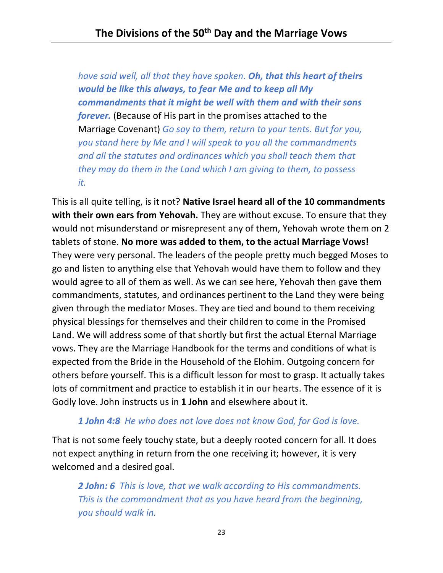*have said well, all that they have spoken. Oh, that this heart of theirs would be like this always, to fear Me and to keep all My commandments that it might be well with them and with their sons forever.* (Because of His part in the promises attached to the Marriage Covenant) *Go say to them, return to your tents. But for you, you stand here by Me and I will speak to you all the commandments and all the statutes and ordinances which you shall teach them that they may do them in the Land which I am giving to them, to possess it.*

This is all quite telling, is it not? **Native Israel heard all of the 10 commandments with their own ears from Yehovah.** They are without excuse. To ensure that they would not misunderstand or misrepresent any of them, Yehovah wrote them on 2 tablets of stone. **No more was added to them, to the actual Marriage Vows!** They were very personal. The leaders of the people pretty much begged Moses to go and listen to anything else that Yehovah would have them to follow and they would agree to all of them as well. As we can see here, Yehovah then gave them commandments, statutes, and ordinances pertinent to the Land they were being given through the mediator Moses. They are tied and bound to them receiving physical blessings for themselves and their children to come in the Promised Land. We will address some of that shortly but first the actual Eternal Marriage vows. They are the Marriage Handbook for the terms and conditions of what is expected from the Bride in the Household of the Elohim. Outgoing concern for others before yourself. This is a difficult lesson for most to grasp. It actually takes lots of commitment and practice to establish it in our hearts. The essence of it is Godly love. John instructs us in **1 John** and elsewhere about it.

### *1 John 4:8 He who does not love does not know God, for God is love.*

That is not some feely touchy state, but a deeply rooted concern for all. It does not expect anything in return from the one receiving it; however, it is very welcomed and a desired goal.

*2 John: 6 This is love, that we walk according to His commandments. This is the commandment that as you have heard from the beginning, you should walk in.*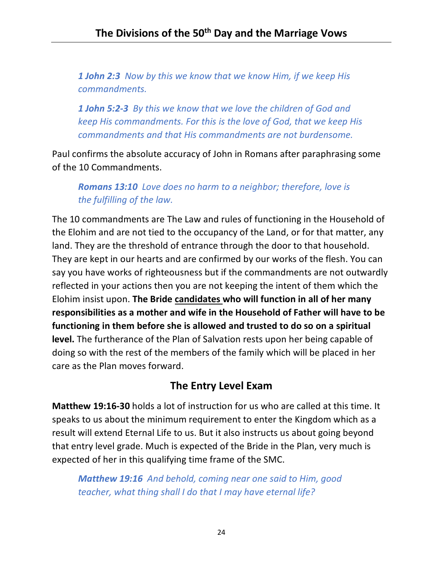*1 John 2:3 Now by this we know that we know Him, if we keep His commandments.*

*1 John 5:2-3 By this we know that we love the children of God and keep His commandments. For this is the love of God, that we keep His commandments and that His commandments are not burdensome.*

Paul confirms the absolute accuracy of John in Romans after paraphrasing some of the 10 Commandments.

*Romans 13:10 Love does no harm to a neighbor; therefore, love is the fulfilling of the law.*

The 10 commandments are The Law and rules of functioning in the Household of the Elohim and are not tied to the occupancy of the Land, or for that matter, any land. They are the threshold of entrance through the door to that household. They are kept in our hearts and are confirmed by our works of the flesh. You can say you have works of righteousness but if the commandments are not outwardly reflected in your actions then you are not keeping the intent of them which the Elohim insist upon. **The Bride candidates who will function in all of her many responsibilities as a mother and wife in the Household of Father will have to be functioning in them before she is allowed and trusted to do so on a spiritual level.** The furtherance of the Plan of Salvation rests upon her being capable of doing so with the rest of the members of the family which will be placed in her care as the Plan moves forward.

## **The Entry Level Exam**

**Matthew 19:16-30** holds a lot of instruction for us who are called at this time. It speaks to us about the minimum requirement to enter the Kingdom which as a result will extend Eternal Life to us. But it also instructs us about going beyond that entry level grade. Much is expected of the Bride in the Plan, very much is expected of her in this qualifying time frame of the SMC.

*Matthew 19:16 And behold, coming near one said to Him, good teacher, what thing shall I do that I may have eternal life?*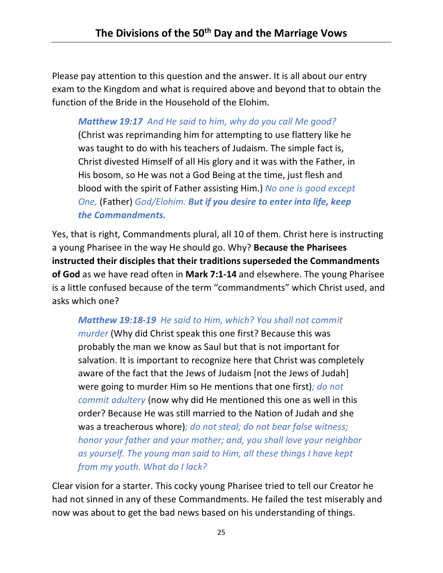Please pay attention to this question and the answer. It is all about our entry exam to the Kingdom and what is required above and beyond that to obtain the function of the Bride in the Household of the Elohim.

## *Matthew 19:17 And He said to him, why do you call Me good?*

(Christ was reprimanding him for attempting to use flattery like he was taught to do with his teachers of Judaism. The simple fact is, Christ divested Himself of all His glory and it was with the Father, in His bosom, so He was not a God Being at the time, just flesh and blood with the spirit of Father assisting Him.) *No one is good except One,* (Father) *God/Elohim. But if you desire to enter into life, keep the Commandments.*

Yes, that is right, Commandments plural, all 10 of them. Christ here is instructing a young Pharisee in the way He should go. Why? **Because the Pharisees instructed their disciples that their traditions superseded the Commandments of God** as we have read often in **Mark 7:1-14** and elsewhere. The young Pharisee is a little confused because of the term "commandments" which Christ used, and asks which one?

## *Matthew 19:18-19 He said to Him, which? You shall not commit*

*murder* (Why did Christ speak this one first? Because this was probably the man we know as Saul but that is not important for salvation. It is important to recognize here that Christ was completely aware of the fact that the Jews of Judaism [not the Jews of Judah] were going to murder Him so He mentions that one first)*; do not commit adultery* (now why did He mentioned this one as well in this order? Because He was still married to the Nation of Judah and she was a treacherous whore)*; do not steal; do not bear false witness; honor your father and your mother; and, you shall love your neighbor as yourself. The young man said to Him, all these things I have kept from my youth. What do I lack?*

Clear vision for a starter. This cocky young Pharisee tried to tell our Creator he had not sinned in any of these Commandments. He failed the test miserably and now was about to get the bad news based on his understanding of things.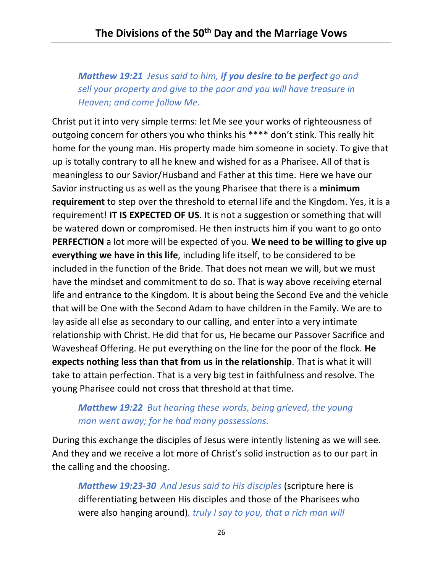*Matthew 19:21 Jesus said to him, if you desire to be perfect go and sell your property and give to the poor and you will have treasure in Heaven; and come follow Me.*

Christ put it into very simple terms: let Me see your works of righteousness of outgoing concern for others you who thinks his \*\*\*\* don't stink. This really hit home for the young man. His property made him someone in society. To give that up is totally contrary to all he knew and wished for as a Pharisee. All of that is meaningless to our Savior/Husband and Father at this time. Here we have our Savior instructing us as well as the young Pharisee that there is a **minimum requirement** to step over the threshold to eternal life and the Kingdom. Yes, it is a requirement! **IT IS EXPECTED OF US**. It is not a suggestion or something that will be watered down or compromised. He then instructs him if you want to go onto **PERFECTION** a lot more will be expected of you. **We need to be willing to give up everything we have in this life**, including life itself, to be considered to be included in the function of the Bride. That does not mean we will, but we must have the mindset and commitment to do so. That is way above receiving eternal life and entrance to the Kingdom. It is about being the Second Eve and the vehicle that will be One with the Second Adam to have children in the Family. We are to lay aside all else as secondary to our calling, and enter into a very intimate relationship with Christ. He did that for us, He became our Passover Sacrifice and Wavesheaf Offering. He put everything on the line for the poor of the flock. **He expects nothing less than that from us in the relationship**. That is what it will take to attain perfection. That is a very big test in faithfulness and resolve. The young Pharisee could not cross that threshold at that time.

## *Matthew 19:22 But hearing these words, being grieved, the young man went away; for he had many possessions.*

During this exchange the disciples of Jesus were intently listening as we will see. And they and we receive a lot more of Christ's solid instruction as to our part in the calling and the choosing.

*Matthew 19:23-30 And Jesus said to His disciples* (scripture here is differentiating between His disciples and those of the Pharisees who were also hanging around)*, truly I say to you, that a rich man will*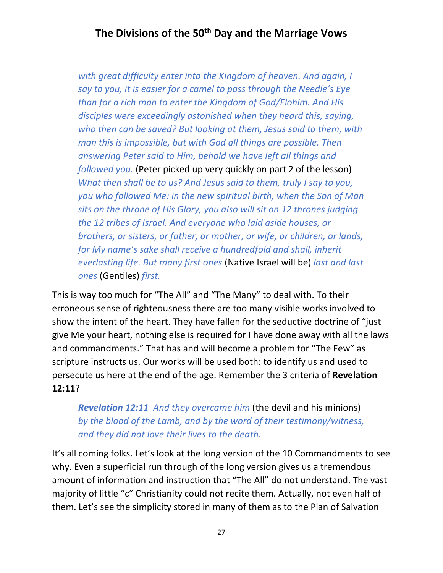*with great difficulty enter into the Kingdom of heaven. And again, I say to you, it is easier for a camel to pass through the Needle's Eye than for a rich man to enter the Kingdom of God/Elohim. And His disciples were exceedingly astonished when they heard this, saying, who then can be saved? But looking at them, Jesus said to them, with man this is impossible, but with God all things are possible. Then answering Peter said to Him, behold we have left all things and followed you.* (Peter picked up very quickly on part 2 of the lesson) *What then shall be to us? And Jesus said to them, truly I say to you, you who followed Me: in the new spiritual birth, when the Son of Man sits on the throne of His Glory, you also will sit on 12 thrones judging the 12 tribes of Israel. And everyone who laid aside houses, or brothers, or sisters, or father, or mother, or wife, or children, or lands, for My name's sake shall receive a hundredfold and shall, inherit everlasting life. But many first ones* (Native Israel will be) *last and last ones* (Gentiles) *first.*

This is way too much for "The All" and "The Many" to deal with. To their erroneous sense of righteousness there are too many visible works involved to show the intent of the heart. They have fallen for the seductive doctrine of "just give Me your heart, nothing else is required for I have done away with all the laws and commandments." That has and will become a problem for "The Few" as scripture instructs us. Our works will be used both: to identify us and used to persecute us here at the end of the age. Remember the 3 criteria of **Revelation 12:11**?

*Revelation 12:11 And they overcame him* (the devil and his minions) *by the blood of the Lamb, and by the word of their testimony/witness, and they did not love their lives to the death.*

It's all coming folks. Let's look at the long version of the 10 Commandments to see why. Even a superficial run through of the long version gives us a tremendous amount of information and instruction that "The All" do not understand. The vast majority of little "c" Christianity could not recite them. Actually, not even half of them. Let's see the simplicity stored in many of them as to the Plan of Salvation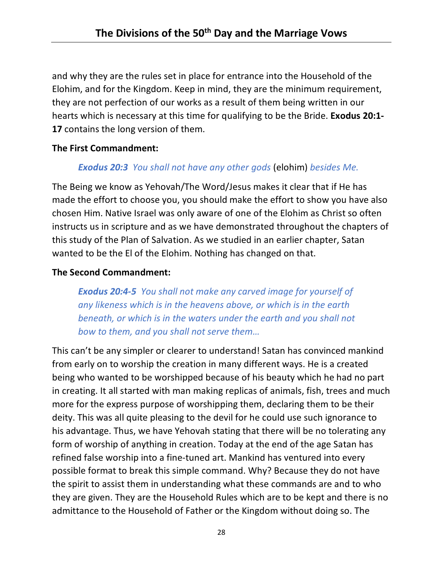and why they are the rules set in place for entrance into the Household of the Elohim, and for the Kingdom. Keep in mind, they are the minimum requirement, they are not perfection of our works as a result of them being written in our hearts which is necessary at this time for qualifying to be the Bride. **Exodus 20:1- 17** contains the long version of them.

#### **The First Commandment:**

### *Exodus 20:3 You shall not have any other gods* (elohim) *besides Me.*

The Being we know as Yehovah/The Word/Jesus makes it clear that if He has made the effort to choose you, you should make the effort to show you have also chosen Him. Native Israel was only aware of one of the Elohim as Christ so often instructs us in scripture and as we have demonstrated throughout the chapters of this study of the Plan of Salvation. As we studied in an earlier chapter, Satan wanted to be the El of the Elohim. Nothing has changed on that.

#### **The Second Commandment:**

*Exodus 20:4-5 You shall not make any carved image for yourself of any likeness which is in the heavens above, or which is in the earth beneath, or which is in the waters under the earth and you shall not bow to them, and you shall not serve them…*

This can't be any simpler or clearer to understand! Satan has convinced mankind from early on to worship the creation in many different ways. He is a created being who wanted to be worshipped because of his beauty which he had no part in creating. It all started with man making replicas of animals, fish, trees and much more for the express purpose of worshipping them, declaring them to be their deity. This was all quite pleasing to the devil for he could use such ignorance to his advantage. Thus, we have Yehovah stating that there will be no tolerating any form of worship of anything in creation. Today at the end of the age Satan has refined false worship into a fine-tuned art. Mankind has ventured into every possible format to break this simple command. Why? Because they do not have the spirit to assist them in understanding what these commands are and to who they are given. They are the Household Rules which are to be kept and there is no admittance to the Household of Father or the Kingdom without doing so. The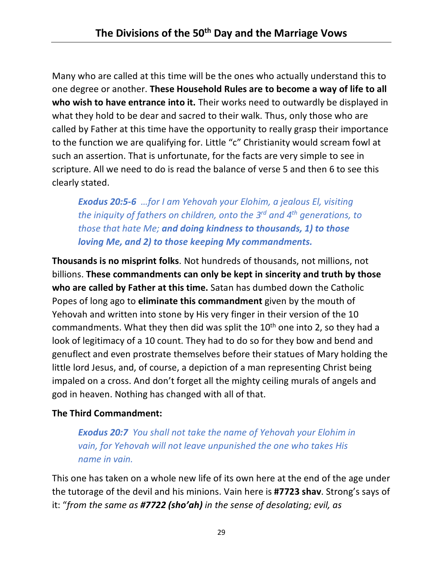Many who are called at this time will be the ones who actually understand this to one degree or another. **These Household Rules are to become a way of life to all who wish to have entrance into it.** Their works need to outwardly be displayed in what they hold to be dear and sacred to their walk. Thus, only those who are called by Father at this time have the opportunity to really grasp their importance to the function we are qualifying for. Little "c" Christianity would scream fowl at such an assertion. That is unfortunate, for the facts are very simple to see in scripture. All we need to do is read the balance of verse 5 and then 6 to see this clearly stated.

*Exodus 20:5-6 …for I am Yehovah your Elohim, a jealous El, visiting the iniquity of fathers on children, onto the 3rd and 4th generations, to those that hate Me; and doing kindness to thousands, 1) to those loving Me, and 2) to those keeping My commandments.*

**Thousands is no misprint folks**. Not hundreds of thousands, not millions, not billions. **These commandments can only be kept in sincerity and truth by those who are called by Father at this time.** Satan has dumbed down the Catholic Popes of long ago to **eliminate this commandment** given by the mouth of Yehovah and written into stone by His very finger in their version of the 10 commandments. What they then did was split the  $10<sup>th</sup>$  one into 2, so they had a look of legitimacy of a 10 count. They had to do so for they bow and bend and genuflect and even prostrate themselves before their statues of Mary holding the little lord Jesus, and, of course, a depiction of a man representing Christ being impaled on a cross. And don't forget all the mighty ceiling murals of angels and god in heaven. Nothing has changed with all of that.

### **The Third Commandment:**

*Exodus 20:7 You shall not take the name of Yehovah your Elohim in vain, for Yehovah will not leave unpunished the one who takes His name in vain.*

This one has taken on a whole new life of its own here at the end of the age under the tutorage of the devil and his minions. Vain here is **#7723 shav**. Strong's says of it: "*from the same as #7722 (sho'ah) in the sense of desolating; evil, as*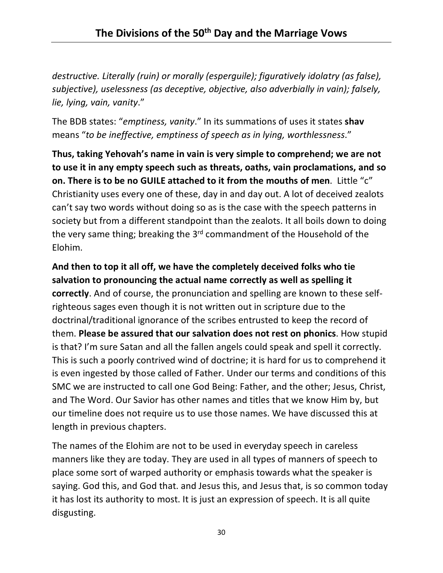*destructive. Literally (ruin) or morally (esperguile); figuratively idolatry (as false), subjective), uselessness (as deceptive, objective, also adverbially in vain); falsely, lie, lying, vain, vanity*."

The BDB states: "*emptiness, vanity*." In its summations of uses it states **shav** means "*to be ineffective, emptiness of speech as in lying, worthlessness*."

**Thus, taking Yehovah's name in vain is very simple to comprehend; we are not to use it in any empty speech such as threats, oaths, vain proclamations, and so on. There is to be no GUILE attached to it from the mouths of men**. Little "c" Christianity uses every one of these, day in and day out. A lot of deceived zealots can't say two words without doing so as is the case with the speech patterns in society but from a different standpoint than the zealots. It all boils down to doing the very same thing; breaking the 3<sup>rd</sup> commandment of the Household of the Elohim.

**And then to top it all off, we have the completely deceived folks who tie salvation to pronouncing the actual name correctly as well as spelling it correctly**. And of course, the pronunciation and spelling are known to these selfrighteous sages even though it is not written out in scripture due to the doctrinal/traditional ignorance of the scribes entrusted to keep the record of them. **Please be assured that our salvation does not rest on phonics**. How stupid is that? I'm sure Satan and all the fallen angels could speak and spell it correctly. This is such a poorly contrived wind of doctrine; it is hard for us to comprehend it is even ingested by those called of Father. Under our terms and conditions of this SMC we are instructed to call one God Being: Father, and the other; Jesus, Christ, and The Word. Our Savior has other names and titles that we know Him by, but our timeline does not require us to use those names. We have discussed this at length in previous chapters.

The names of the Elohim are not to be used in everyday speech in careless manners like they are today. They are used in all types of manners of speech to place some sort of warped authority or emphasis towards what the speaker is saying. God this, and God that. and Jesus this, and Jesus that, is so common today it has lost its authority to most. It is just an expression of speech. It is all quite disgusting.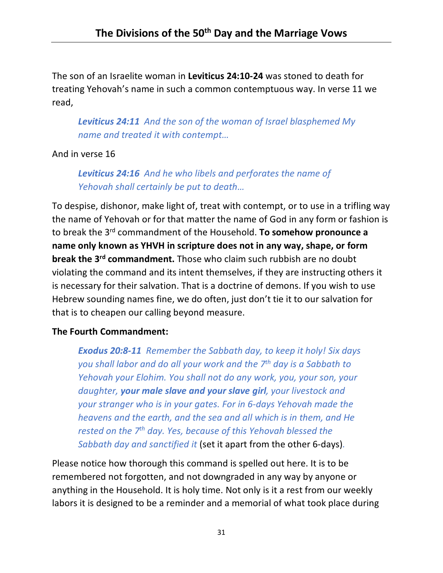The son of an Israelite woman in **Leviticus 24:10-24** was stoned to death for treating Yehovah's name in such a common contemptuous way. In verse 11 we read,

*Leviticus 24:11 And the son of the woman of Israel blasphemed My name and treated it with contempt…*

## And in verse 16

*Leviticus 24:16 And he who libels and perforates the name of Yehovah shall certainly be put to death…*

To despise, dishonor, make light of, treat with contempt, or to use in a trifling way the name of Yehovah or for that matter the name of God in any form or fashion is to break the 3rd commandment of the Household. **To somehow pronounce a name only known as YHVH in scripture does not in any way, shape, or form break the 3rd commandment.** Those who claim such rubbish are no doubt violating the command and its intent themselves, if they are instructing others it is necessary for their salvation. That is a doctrine of demons. If you wish to use Hebrew sounding names fine, we do often, just don't tie it to our salvation for that is to cheapen our calling beyond measure.

### **The Fourth Commandment:**

*Exodus 20:8-11 Remember the Sabbath day, to keep it holy! Six days you shall labor and do all your work and the 7th day is a Sabbath to Yehovah your Elohim. You shall not do any work, you, your son, your daughter, your male slave and your slave girl, your livestock and your stranger who is in your gates. For in 6-days Yehovah made the heavens and the earth, and the sea and all which is in them, and He rested on the 7th day. Yes, because of this Yehovah blessed the Sabbath day and sanctified it* (set it apart from the other 6-days)*.*

Please notice how thorough this command is spelled out here. It is to be remembered not forgotten, and not downgraded in any way by anyone or anything in the Household. It is holy time. Not only is it a rest from our weekly labors it is designed to be a reminder and a memorial of what took place during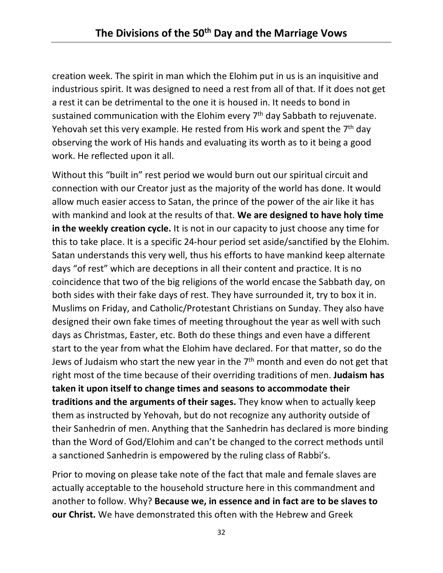creation week. The spirit in man which the Elohim put in us is an inquisitive and industrious spirit. It was designed to need a rest from all of that. If it does not get a rest it can be detrimental to the one it is housed in. It needs to bond in sustained communication with the Elohim every  $7<sup>th</sup>$  day Sabbath to rejuvenate. Yehovah set this very example. He rested from His work and spent the  $7<sup>th</sup>$  day observing the work of His hands and evaluating its worth as to it being a good work. He reflected upon it all.

Without this "built in" rest period we would burn out our spiritual circuit and connection with our Creator just as the majority of the world has done. It would allow much easier access to Satan, the prince of the power of the air like it has with mankind and look at the results of that. **We are designed to have holy time in the weekly creation cycle.** It is not in our capacity to just choose any time for this to take place. It is a specific 24-hour period set aside/sanctified by the Elohim. Satan understands this very well, thus his efforts to have mankind keep alternate days "of rest" which are deceptions in all their content and practice. It is no coincidence that two of the big religions of the world encase the Sabbath day, on both sides with their fake days of rest. They have surrounded it, try to box it in. Muslims on Friday, and Catholic/Protestant Christians on Sunday. They also have designed their own fake times of meeting throughout the year as well with such days as Christmas, Easter, etc. Both do these things and even have a different start to the year from what the Elohim have declared. For that matter, so do the Jews of Judaism who start the new year in the  $7<sup>th</sup>$  month and even do not get that right most of the time because of their overriding traditions of men. **Judaism has taken it upon itself to change times and seasons to accommodate their traditions and the arguments of their sages.** They know when to actually keep them as instructed by Yehovah, but do not recognize any authority outside of their Sanhedrin of men. Anything that the Sanhedrin has declared is more binding than the Word of God/Elohim and can't be changed to the correct methods until a sanctioned Sanhedrin is empowered by the ruling class of Rabbi's.

Prior to moving on please take note of the fact that male and female slaves are actually acceptable to the household structure here in this commandment and another to follow. Why? **Because we, in essence and in fact are to be slaves to our Christ.** We have demonstrated this often with the Hebrew and Greek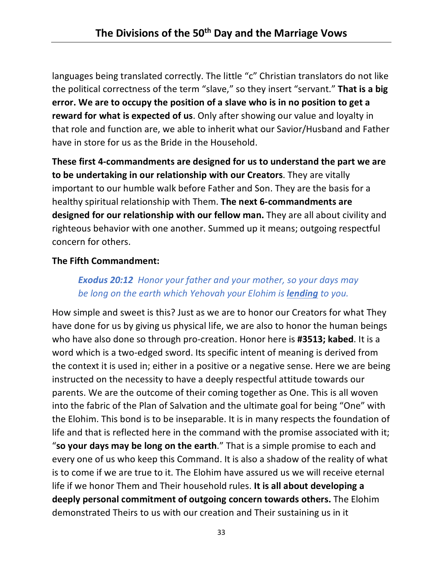languages being translated correctly. The little "c" Christian translators do not like the political correctness of the term "slave," so they insert "servant." **That is a big error. We are to occupy the position of a slave who is in no position to get a reward for what is expected of us**. Only after showing our value and loyalty in that role and function are, we able to inherit what our Savior/Husband and Father have in store for us as the Bride in the Household.

**These first 4-commandments are designed for us to understand the part we are to be undertaking in our relationship with our Creators**. They are vitally important to our humble walk before Father and Son. They are the basis for a healthy spiritual relationship with Them. **The next 6-commandments are designed for our relationship with our fellow man.** They are all about civility and righteous behavior with one another. Summed up it means; outgoing respectful concern for others.

## **The Fifth Commandment:**

## *Exodus 20:12 Honor your father and your mother, so your days may be long on the earth which Yehovah your Elohim is lending to you.*

How simple and sweet is this? Just as we are to honor our Creators for what They have done for us by giving us physical life, we are also to honor the human beings who have also done so through pro-creation. Honor here is **#3513; kabed**. It is a word which is a two-edged sword. Its specific intent of meaning is derived from the context it is used in; either in a positive or a negative sense. Here we are being instructed on the necessity to have a deeply respectful attitude towards our parents. We are the outcome of their coming together as One. This is all woven into the fabric of the Plan of Salvation and the ultimate goal for being "One" with the Elohim. This bond is to be inseparable. It is in many respects the foundation of life and that is reflected here in the command with the promise associated with it; "**so your days may be long on the earth**." That is a simple promise to each and every one of us who keep this Command. It is also a shadow of the reality of what is to come if we are true to it. The Elohim have assured us we will receive eternal life if we honor Them and Their household rules. **It is all about developing a deeply personal commitment of outgoing concern towards others.** The Elohim demonstrated Theirs to us with our creation and Their sustaining us in it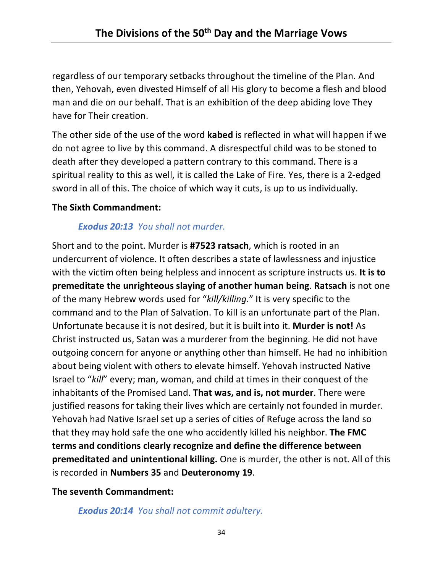regardless of our temporary setbacks throughout the timeline of the Plan. And then, Yehovah, even divested Himself of all His glory to become a flesh and blood man and die on our behalf. That is an exhibition of the deep abiding love They have for Their creation.

The other side of the use of the word **kabed** is reflected in what will happen if we do not agree to live by this command. A disrespectful child was to be stoned to death after they developed a pattern contrary to this command. There is a spiritual reality to this as well, it is called the Lake of Fire. Yes, there is a 2-edged sword in all of this. The choice of which way it cuts, is up to us individually.

#### **The Sixth Commandment:**

### *Exodus 20:13 You shall not murder.*

Short and to the point. Murder is **#7523 ratsach**, which is rooted in an undercurrent of violence. It often describes a state of lawlessness and injustice with the victim often being helpless and innocent as scripture instructs us. **It is to premeditate the unrighteous slaying of another human being**. **Ratsach** is not one of the many Hebrew words used for "*kill/killing*." It is very specific to the command and to the Plan of Salvation. To kill is an unfortunate part of the Plan. Unfortunate because it is not desired, but it is built into it. **Murder is not!** As Christ instructed us, Satan was a murderer from the beginning. He did not have outgoing concern for anyone or anything other than himself. He had no inhibition about being violent with others to elevate himself. Yehovah instructed Native Israel to "*kill*" every; man, woman, and child at times in their conquest of the inhabitants of the Promised Land. **That was, and is, not murder**. There were justified reasons for taking their lives which are certainly not founded in murder. Yehovah had Native Israel set up a series of cities of Refuge across the land so that they may hold safe the one who accidently killed his neighbor. **The FMC terms and conditions clearly recognize and define the difference between premeditated and unintentional killing.** One is murder, the other is not. All of this is recorded in **Numbers 35** and **Deuteronomy 19**.

### **The seventh Commandment:**

*Exodus 20:14 You shall not commit adultery.*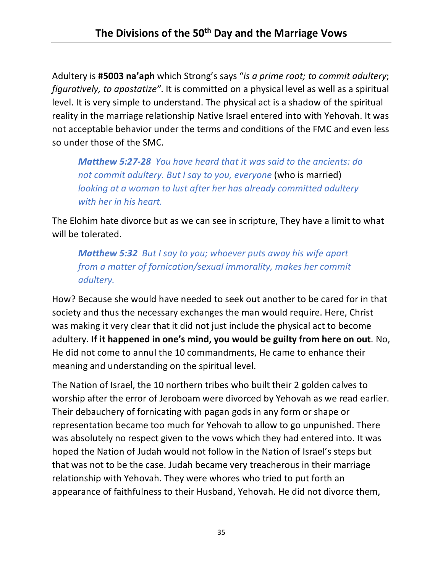Adultery is **#5003 na'aph** which Strong's says "*is a prime root; to commit adultery*; *figuratively, to apostatize"*. It is committed on a physical level as well as a spiritual level. It is very simple to understand. The physical act is a shadow of the spiritual reality in the marriage relationship Native Israel entered into with Yehovah. It was not acceptable behavior under the terms and conditions of the FMC and even less so under those of the SMC.

*Matthew 5:27-28 You have heard that it was said to the ancients: do*  not commit adultery. But I say to you, everyone (who is married) *looking at a woman to lust after her has already committed adultery with her in his heart.*

The Elohim hate divorce but as we can see in scripture, They have a limit to what will be tolerated.

*Matthew 5:32 But I say to you; whoever puts away his wife apart from a matter of fornication/sexual immorality, makes her commit adultery.*

How? Because she would have needed to seek out another to be cared for in that society and thus the necessary exchanges the man would require. Here, Christ was making it very clear that it did not just include the physical act to become adultery. **If it happened in one's mind, you would be guilty from here on out**. No, He did not come to annul the 10 commandments, He came to enhance their meaning and understanding on the spiritual level.

The Nation of Israel, the 10 northern tribes who built their 2 golden calves to worship after the error of Jeroboam were divorced by Yehovah as we read earlier. Their debauchery of fornicating with pagan gods in any form or shape or representation became too much for Yehovah to allow to go unpunished. There was absolutely no respect given to the vows which they had entered into. It was hoped the Nation of Judah would not follow in the Nation of Israel's steps but that was not to be the case. Judah became very treacherous in their marriage relationship with Yehovah. They were whores who tried to put forth an appearance of faithfulness to their Husband, Yehovah. He did not divorce them,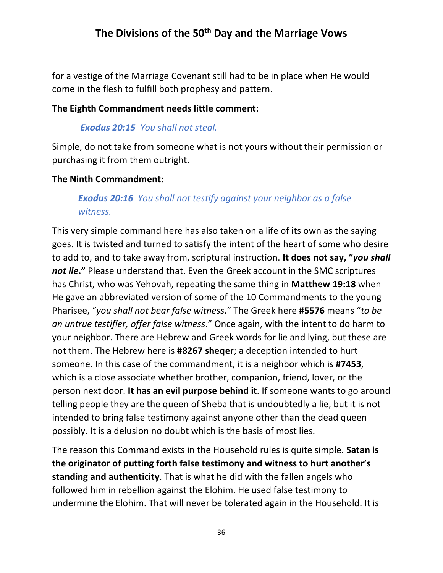for a vestige of the Marriage Covenant still had to be in place when He would come in the flesh to fulfill both prophesy and pattern.

### **The Eighth Commandment needs little comment:**

## *Exodus 20:15 You shall not steal.*

Simple, do not take from someone what is not yours without their permission or purchasing it from them outright.

### **The Ninth Commandment:**

## *Exodus 20:16 You shall not testify against your neighbor as a false witness.*

This very simple command here has also taken on a life of its own as the saying goes. It is twisted and turned to satisfy the intent of the heart of some who desire to add to, and to take away from, scriptural instruction. **It does not say, "***you shall not lie***."** Please understand that. Even the Greek account in the SMC scriptures has Christ, who was Yehovah, repeating the same thing in **Matthew 19:18** when He gave an abbreviated version of some of the 10 Commandments to the young Pharisee, "*you shall not bear false witness*." The Greek here **#5576** means "*to be an untrue testifier, offer false witness*." Once again, with the intent to do harm to your neighbor. There are Hebrew and Greek words for lie and lying, but these are not them. The Hebrew here is **#8267 sheqer**; a deception intended to hurt someone. In this case of the commandment, it is a neighbor which is **#7453**, which is a close associate whether brother, companion, friend, lover, or the person next door. **It has an evil purpose behind it**. If someone wants to go around telling people they are the queen of Sheba that is undoubtedly a lie, but it is not intended to bring false testimony against anyone other than the dead queen possibly. It is a delusion no doubt which is the basis of most lies.

The reason this Command exists in the Household rules is quite simple. **Satan is the originator of putting forth false testimony and witness to hurt another's standing and authenticity**. That is what he did with the fallen angels who followed him in rebellion against the Elohim. He used false testimony to undermine the Elohim. That will never be tolerated again in the Household. It is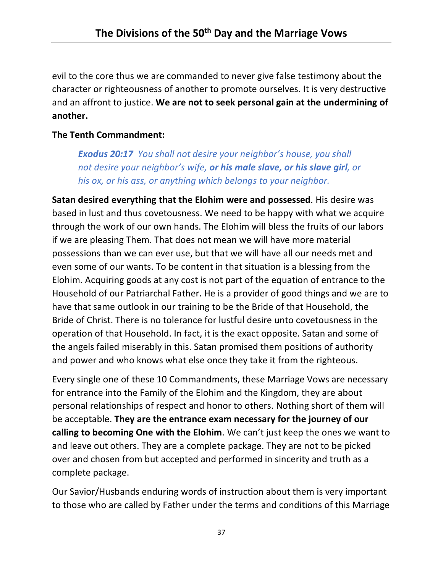evil to the core thus we are commanded to never give false testimony about the character or righteousness of another to promote ourselves. It is very destructive and an affront to justice. **We are not to seek personal gain at the undermining of another.** 

### **The Tenth Commandment:**

*Exodus 20:17 You shall not desire your neighbor's house, you shall not desire your neighbor's wife, or his male slave, or his slave girl, or his ox, or his ass, or anything which belongs to your neighbor.*

**Satan desired everything that the Elohim were and possessed**. His desire was based in lust and thus covetousness. We need to be happy with what we acquire through the work of our own hands. The Elohim will bless the fruits of our labors if we are pleasing Them. That does not mean we will have more material possessions than we can ever use, but that we will have all our needs met and even some of our wants. To be content in that situation is a blessing from the Elohim. Acquiring goods at any cost is not part of the equation of entrance to the Household of our Patriarchal Father. He is a provider of good things and we are to have that same outlook in our training to be the Bride of that Household, the Bride of Christ. There is no tolerance for lustful desire unto covetousness in the operation of that Household. In fact, it is the exact opposite. Satan and some of the angels failed miserably in this. Satan promised them positions of authority and power and who knows what else once they take it from the righteous.

Every single one of these 10 Commandments, these Marriage Vows are necessary for entrance into the Family of the Elohim and the Kingdom, they are about personal relationships of respect and honor to others. Nothing short of them will be acceptable. **They are the entrance exam necessary for the journey of our calling to becoming One with the Elohim**. We can't just keep the ones we want to and leave out others. They are a complete package. They are not to be picked over and chosen from but accepted and performed in sincerity and truth as a complete package.

Our Savior/Husbands enduring words of instruction about them is very important to those who are called by Father under the terms and conditions of this Marriage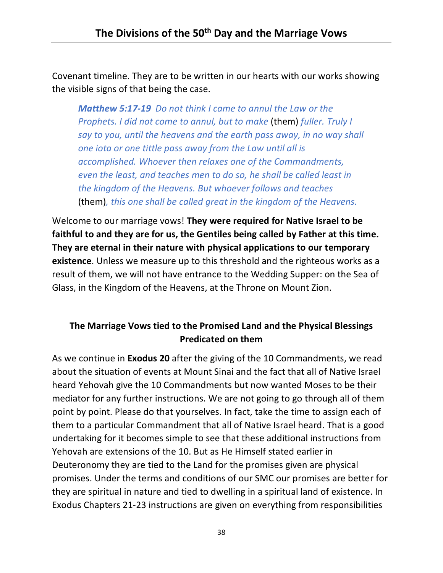Covenant timeline. They are to be written in our hearts with our works showing the visible signs of that being the case.

*Matthew 5:17-19 Do not think I came to annul the Law or the Prophets. I did not come to annul, but to make* (them) *fuller. Truly I say to you, until the heavens and the earth pass away, in no way shall one iota or one tittle pass away from the Law until all is accomplished. Whoever then relaxes one of the Commandments, even the least, and teaches men to do so, he shall be called least in the kingdom of the Heavens. But whoever follows and teaches*  (them)*, this one shall be called great in the kingdom of the Heavens.*

Welcome to our marriage vows! **They were required for Native Israel to be faithful to and they are for us, the Gentiles being called by Father at this time. They are eternal in their nature with physical applications to our temporary existence**. Unless we measure up to this threshold and the righteous works as a result of them, we will not have entrance to the Wedding Supper: on the Sea of Glass, in the Kingdom of the Heavens, at the Throne on Mount Zion.

## **The Marriage Vows tied to the Promised Land and the Physical Blessings Predicated on them**

As we continue in **Exodus 20** after the giving of the 10 Commandments, we read about the situation of events at Mount Sinai and the fact that all of Native Israel heard Yehovah give the 10 Commandments but now wanted Moses to be their mediator for any further instructions. We are not going to go through all of them point by point. Please do that yourselves. In fact, take the time to assign each of them to a particular Commandment that all of Native Israel heard. That is a good undertaking for it becomes simple to see that these additional instructions from Yehovah are extensions of the 10. But as He Himself stated earlier in Deuteronomy they are tied to the Land for the promises given are physical promises. Under the terms and conditions of our SMC our promises are better for they are spiritual in nature and tied to dwelling in a spiritual land of existence. In Exodus Chapters 21-23 instructions are given on everything from responsibilities